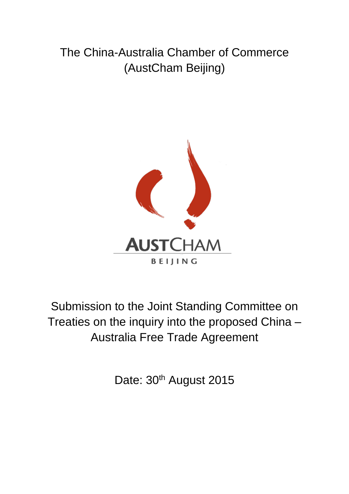The China-Australia Chamber of Commerce (AustCham Beijing)



Submission to the Joint Standing Committee on Treaties on the inquiry into the proposed China – Australia Free Trade Agreement

Date: 30<sup>th</sup> August 2015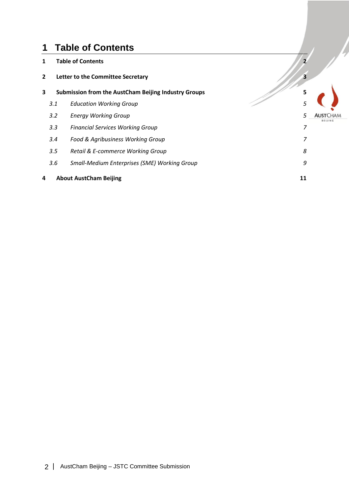# **1 Table of Contents**

| 1              |                                   | <b>Table of Contents</b>                             |    |                                    |
|----------------|-----------------------------------|------------------------------------------------------|----|------------------------------------|
| $\overline{2}$ | Letter to the Committee Secretary |                                                      | 3  |                                    |
| 3              |                                   | Submission from the AustCham Beijing Industry Groups | 5  |                                    |
|                | 3.1                               | <b>Education Working Group</b>                       | 5  |                                    |
|                | 3.2                               | <b>Energy Working Group</b>                          |    | <b>AUST</b> CHAM<br><b>BEIJING</b> |
|                | 3.3                               | <b>Financial Services Working Group</b>              | 7  |                                    |
|                | 3.4                               | Food & Agribusiness Working Group                    | 7  |                                    |
|                | 3.5                               | Retail & E-commerce Working Group                    | 8  |                                    |
|                | 3.6                               | Small-Medium Enterprises (SME) Working Group         | 9  |                                    |
| 4              | <b>About AustCham Beijing</b>     |                                                      | 11 |                                    |

Z,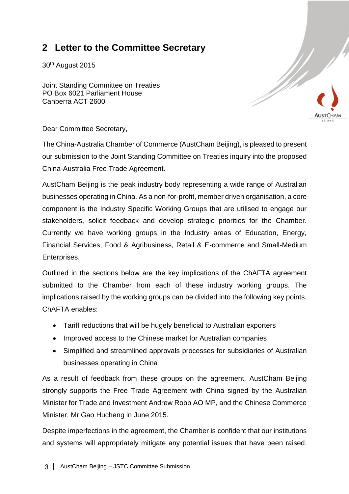## **2 Letter to the Committee Secretary**

30th August 2015

Joint Standing Committee on Treaties PO Box 6021 Parliament House Canberra ACT 2600



The China-Australia Chamber of Commerce (AustCham Beijing), is pleased to present our submission to the Joint Standing Committee on Treaties inquiry into the proposed China-Australia Free Trade Agreement.

**JSTCHAM** 

AustCham Beijing is the peak industry body representing a wide range of Australian businesses operating in China. As a non-for-profit, member driven organisation, a core component is the Industry Specific Working Groups that are utilised to engage our stakeholders, solicit feedback and develop strategic priorities for the Chamber. Currently we have working groups in the Industry areas of Education, Energy, Financial Services, Food & Agribusiness, Retail & E-commerce and Small-Medium Enterprises.

Outlined in the sections below are the key implications of the ChAFTA agreement submitted to the Chamber from each of these industry working groups. The implications raised by the working groups can be divided into the following key points. ChAFTA enables:

- Tariff reductions that will be hugely beneficial to Australian exporters
- Improved access to the Chinese market for Australian companies
- Simplified and streamlined approvals processes for subsidiaries of Australian businesses operating in China

As a result of feedback from these groups on the agreement, AustCham Beijing strongly supports the Free Trade Agreement with China signed by the Australian Minister for Trade and Investment Andrew Robb AO MP, and the Chinese Commerce Minister, Mr Gao Hucheng in June 2015.

Despite imperfections in the agreement, the Chamber is confident that our institutions and systems will appropriately mitigate any potential issues that have been raised.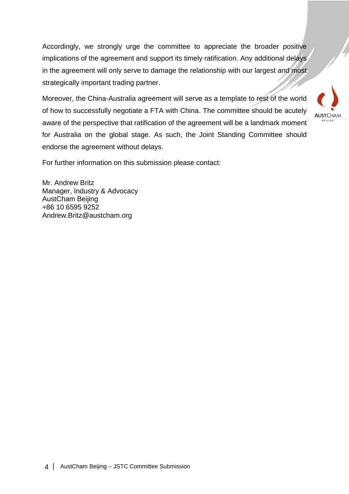Accordingly, we strongly urge the committee to appreciate the broader positive implications of the agreement and support its timely ratification. Any additional delays in the agreement will only serve to damage the relationship with our largest and most strategically important trading partner.

Moreover, the China-Australia agreement will serve as a template to rest of the world of how to successfully negotiate a FTA with China. The committee should be acutely aware of the perspective that ratification of the agreement will be a landmark moment for Australia on the global stage. As such, the Joint Standing Committee should endorse the agreement without delays.



For further information on this submission please contact:

Mr. Andrew Britz Manager, Industry & Advocacy AustCham Beijing +86 10 6595 9252 Andrew.Britz@austcham.org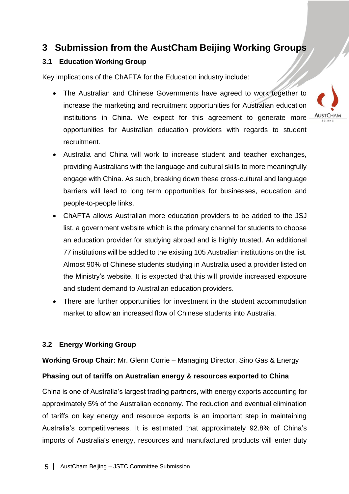# **3 Submission from the AustCham Beijing Working Groups**

## **3.1 Education Working Group**

Key implications of the ChAFTA for the Education industry include:

- The Australian and Chinese Governments have agreed to work together to increase the marketing and recruitment opportunities for Australian education institutions in China. We expect for this agreement to generate more opportunities for Australian education providers with regards to student recruitment.
- Australia and China will work to increase student and teacher exchanges, providing Australians with the language and cultural skills to more meaningfully engage with China. As such, breaking down these cross-cultural and language barriers will lead to long term opportunities for businesses, education and people-to-people links.
- ChAFTA allows Australian more education providers to be added to the JSJ list, a government website which is the primary channel for students to choose an education provider for studying abroad and is highly trusted. An additional 77 institutions will be added to the existing 105 Australian institutions on the list. Almost 90% of Chinese students studying in Australia used a provider listed on the Ministry's website. It is expected that this will provide increased exposure and student demand to Australian education providers.
- There are further opportunities for investment in the student accommodation market to allow an increased flow of Chinese students into Australia.

## **3.2 Energy Working Group**

**Working Group Chair:** Mr. Glenn Corrie – Managing Director, Sino Gas & Energy

### **Phasing out of tariffs on Australian energy & resources exported to China**

China is one of Australia's largest trading partners, with energy exports accounting for approximately 5% of the Australian economy. The reduction and eventual elimination of tariffs on key energy and resource exports is an important step in maintaining Australia's competitiveness. It is estimated that approximately 92.8% of China's imports of Australia's energy, resources and manufactured products will enter duty

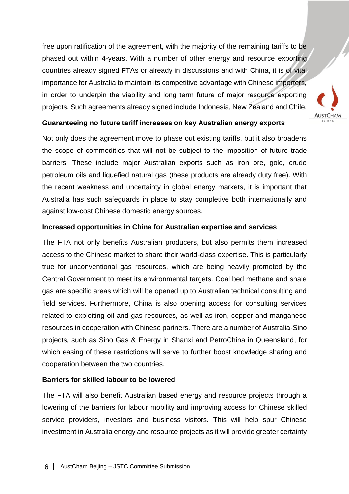free upon ratification of the agreement, with the majority of the remaining tariffs to be phased out within 4-years. With a number of other energy and resource exporting countries already signed FTAs or already in discussions and with China, it is of vital importance for Australia to maintain its competitive advantage with Chinese importers, in order to underpin the viability and long term future of major resource exporting projects. Such agreements already signed include Indonesia, New Zealand and Chile.



#### **Guaranteeing no future tariff increases on key Australian energy exports**

Not only does the agreement move to phase out existing tariffs, but it also broadens the scope of commodities that will not be subject to the imposition of future trade barriers. These include major Australian exports such as iron ore, gold, crude petroleum oils and liquefied natural gas (these products are already duty free). With the recent weakness and uncertainty in global energy markets, it is important that Australia has such safeguards in place to stay completive both internationally and against low-cost Chinese domestic energy sources.

#### **Increased opportunities in China for Australian expertise and services**

The FTA not only benefits Australian producers, but also permits them increased access to the Chinese market to share their world-class expertise. This is particularly true for unconventional gas resources, which are being heavily promoted by the Central Government to meet its environmental targets. Coal bed methane and shale gas are specific areas which will be opened up to Australian technical consulting and field services. Furthermore, China is also opening access for consulting services related to exploiting oil and gas resources, as well as iron, copper and manganese resources in cooperation with Chinese partners. There are a number of Australia-Sino projects, such as Sino Gas & Energy in Shanxi and PetroChina in Queensland, for which easing of these restrictions will serve to further boost knowledge sharing and cooperation between the two countries.

#### **Barriers for skilled labour to be lowered**

The FTA will also benefit Australian based energy and resource projects through a lowering of the barriers for labour mobility and improving access for Chinese skilled service providers, investors and business visitors. This will help spur Chinese investment in Australia energy and resource projects as it will provide greater certainty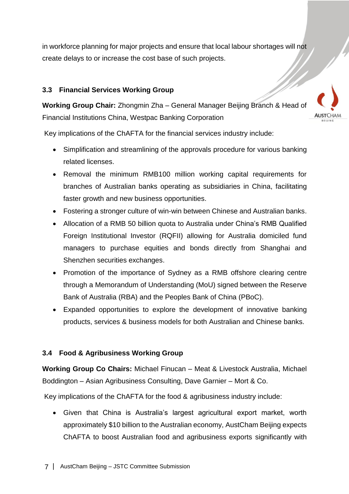in workforce planning for major projects and ensure that local labour shortages will not create delays to or increase the cost base of such projects.

## **3.3 Financial Services Working Group**

**Working Group Chair:** Zhongmin Zha – General Manager Beijing Branch & Head of Financial Institutions China, Westpac Banking Corporation



Key implications of the ChAFTA for the financial services industry include:

- Simplification and streamlining of the approvals procedure for various banking related licenses.
- Removal the minimum RMB100 million working capital requirements for branches of Australian banks operating as subsidiaries in China, facilitating faster growth and new business opportunities.
- Fostering a stronger culture of win-win between Chinese and Australian banks.
- Allocation of a RMB 50 billion quota to Australia under China's RMB Qualified Foreign Institutional Investor (RQFII) allowing for Australia domiciled fund managers to purchase equities and bonds directly from Shanghai and Shenzhen securities exchanges.
- Promotion of the importance of Sydney as a RMB offshore clearing centre through a Memorandum of Understanding (MoU) signed between the Reserve Bank of Australia (RBA) and the Peoples Bank of China (PBoC).
- Expanded opportunities to explore the development of innovative banking products, services & business models for both Australian and Chinese banks.

## **3.4 Food & Agribusiness Working Group**

**Working Group Co Chairs:** Michael Finucan – Meat & Livestock Australia, Michael Boddington – Asian Agribusiness Consulting, Dave Garnier – Mort & Co.

Key implications of the ChAFTA for the food & agribusiness industry include:

 Given that China is Australia's largest agricultural export market, worth approximately \$10 billion to the Australian economy, AustCham Beijing expects ChAFTA to boost Australian food and agribusiness exports significantly with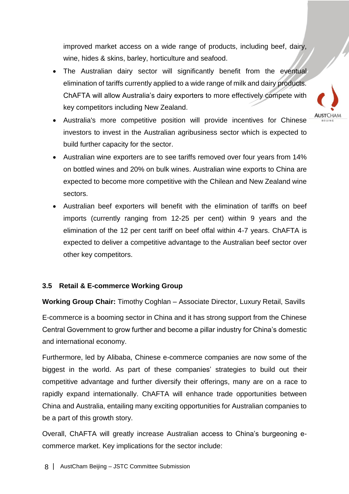improved market access on a wide range of products, including beef, dairy, wine, hides & skins, barley, horticulture and seafood.

- The Australian dairy sector will significantly benefit from the eventual elimination of tariffs currently applied to a wide range of milk and dairy products. ChAFTA will allow Australia's dairy exporters to more effectively compete with key competitors including New Zealand.
- Australia's more competitive position will provide incentives for Chinese investors to invest in the Australian agribusiness sector which is expected to build further capacity for the sector.

**ALIST**CHAM

- Australian wine exporters are to see tariffs removed over four years from 14% on bottled wines and 20% on bulk wines. Australian wine exports to China are expected to become more competitive with the Chilean and New Zealand wine sectors.
- Australian beef exporters will benefit with the elimination of tariffs on beef imports (currently ranging from 12-25 per cent) within 9 years and the elimination of the 12 per cent tariff on beef offal within 4-7 years. ChAFTA is expected to deliver a competitive advantage to the Australian beef sector over other key competitors.

## **3.5 Retail & E-commerce Working Group**

**Working Group Chair:** Timothy Coghlan – Associate Director, Luxury Retail, Savills

E-commerce is a booming sector in China and it has strong support from the Chinese Central Government to grow further and become a pillar industry for China's domestic and international economy.

Furthermore, led by Alibaba, Chinese e-commerce companies are now some of the biggest in the world. As part of these companies' strategies to build out their competitive advantage and further diversify their offerings, many are on a race to rapidly expand internationally. ChAFTA will enhance trade opportunities between China and Australia, entailing many exciting opportunities for Australian companies to be a part of this growth story.

Overall, ChAFTA will greatly increase Australian access to China's burgeoning ecommerce market. Key implications for the sector include: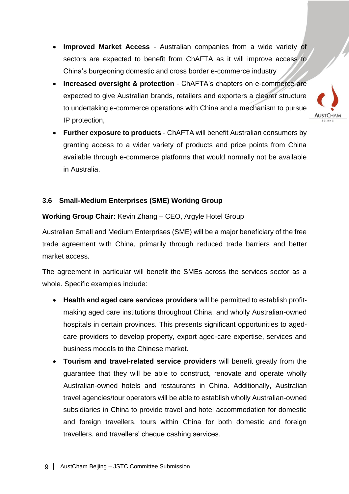- **Improved Market Access** Australian companies from a wide variety of sectors are expected to benefit from ChAFTA as it will improve access to China's burgeoning domestic and cross border e-commerce industry
- **Increased oversight & protection** ChAFTA's chapters on e-commerce are expected to give Australian brands, retailers and exporters a clearer structure to undertaking e-commerce operations with China and a mechanism to pursue IP protection,



 **Further exposure to products** - ChAFTA will benefit Australian consumers by granting access to a wider variety of products and price points from China available through e-commerce platforms that would normally not be available in Australia.

### **3.6 Small-Medium Enterprises (SME) Working Group**

### **Working Group Chair:** Kevin Zhang – CEO, Argyle Hotel Group

Australian Small and Medium Enterprises (SME) will be a major beneficiary of the free trade agreement with China, primarily through reduced trade barriers and better market access.

The agreement in particular will benefit the SMEs across the services sector as a whole. Specific examples include:

- **Health and aged care services providers** will be permitted to establish profitmaking aged care institutions throughout China, and wholly Australian-owned hospitals in certain provinces. This presents significant opportunities to agedcare providers to develop property, export aged-care expertise, services and business models to the Chinese market.
- **Tourism and travel-related service providers** will benefit greatly from the guarantee that they will be able to construct, renovate and operate wholly Australian-owned hotels and restaurants in China. Additionally, Australian travel agencies/tour operators will be able to establish wholly Australian-owned subsidiaries in China to provide travel and hotel accommodation for domestic and foreign travellers, tours within China for both domestic and foreign travellers, and travellers' cheque cashing services.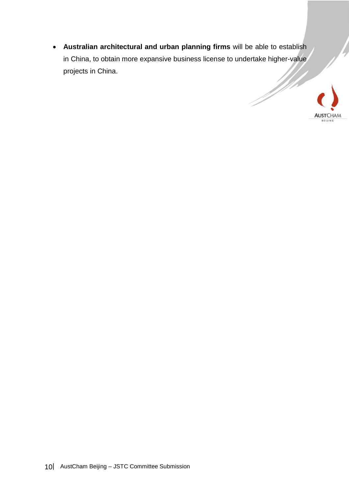**Australian architectural and urban planning firms** will be able to establish in China, to obtain more expansive business license to undertake higher-value projects in China.